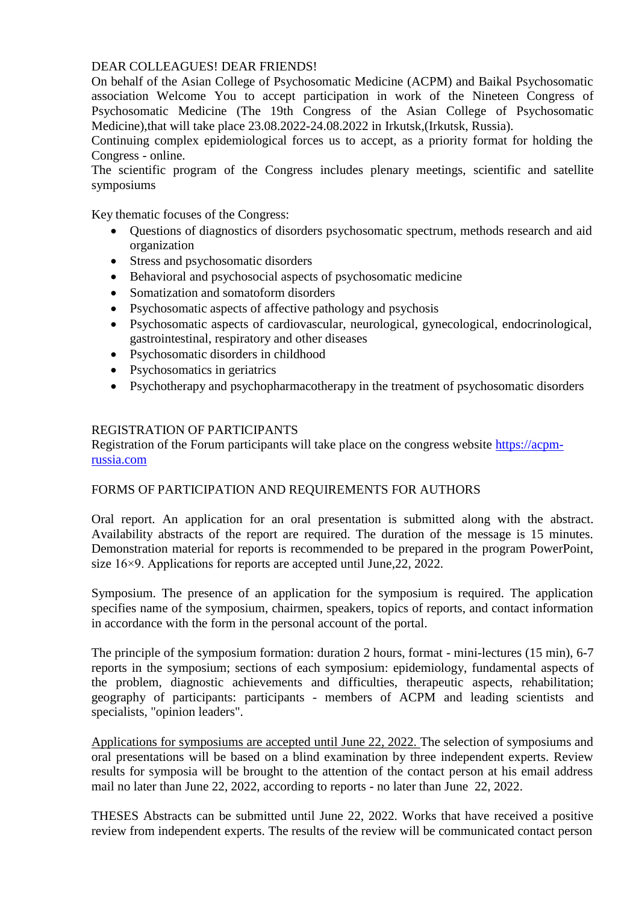## DEAR COLLEAGUES! DEAR FRIENDS!

On behalf of the Asian College of Psychosomatic Medicine (ACPM) and Baikal Psychosomatic association Welcome You to accept participation in work of the Nineteen Congress of Psychosomatic Medicine (The 19th Congress of the Asian College of Psychosomatic Medicine),that will take place 23.08.2022-24.08.2022 in Irkutsk,(Irkutsk, Russia).

Continuing complex epidemiological forces us to accept, as a priority format for holding the Congress - online.

The scientific program of the Congress includes plenary meetings, scientific and satellite symposiums

Key thematic focuses of the Congress:

- Questions of diagnostics of disorders psychosomatic spectrum, methods research and aid organization
- Stress and psychosomatic disorders
- Behavioral and psychosocial aspects of psychosomatic medicine
- Somatization and somatoform disorders
- Psychosomatic aspects of affective pathology and psychosis
- Psychosomatic aspects of cardiovascular, neurological, gynecological, endocrinological, gastrointestinal, respiratory and other diseases
- Psychosomatic disorders in childhood
- Psychosomatics in geriatrics
- Psychotherapy and psychopharmacotherapy in the treatment of psychosomatic disorders

## REGISTRATION OF PARTICIPANTS

Registration of the Forum participants will take place on the congress website https://acpmrussia.com

## FORMS OF PARTICIPATION AND REQUIREMENTS FOR AUTHORS

Oral report. An application for an oral presentation is submitted along with the abstract. Availability abstracts of the report are required. The duration of the message is 15 minutes. Demonstration material for reports is recommended to be prepared in the program PowerPoint, size 16×9. Applications for reports are accepted until June,22, 2022.

Symposium. The presence of an application for the symposium is required. The application specifies name of the symposium, chairmen, speakers, topics of reports, and contact information in accordance with the form in the personal account of the portal.

The principle of the symposium formation: duration 2 hours, format - mini-lectures (15 min), 6-7 reports in the symposium; sections of each symposium: epidemiology, fundamental aspects of the problem, diagnostic achievements and difficulties, therapeutic aspects, rehabilitation; geography of participants: participants - members of ACPM and leading scientists and specialists, "opinion leaders".

Applications for symposiums are accepted until June 22, 2022. The selection of symposiums and oral presentations will be based on a blind examination by three independent experts. Review results for symposia will be brought to the attention of the contact person at his email address mail no later than June 22, 2022, according to reports - no later than June 22, 2022.

THESES Abstracts can be submitted until June 22, 2022. Works that have received a positive review from independent experts. The results of the review will be communicated contact person